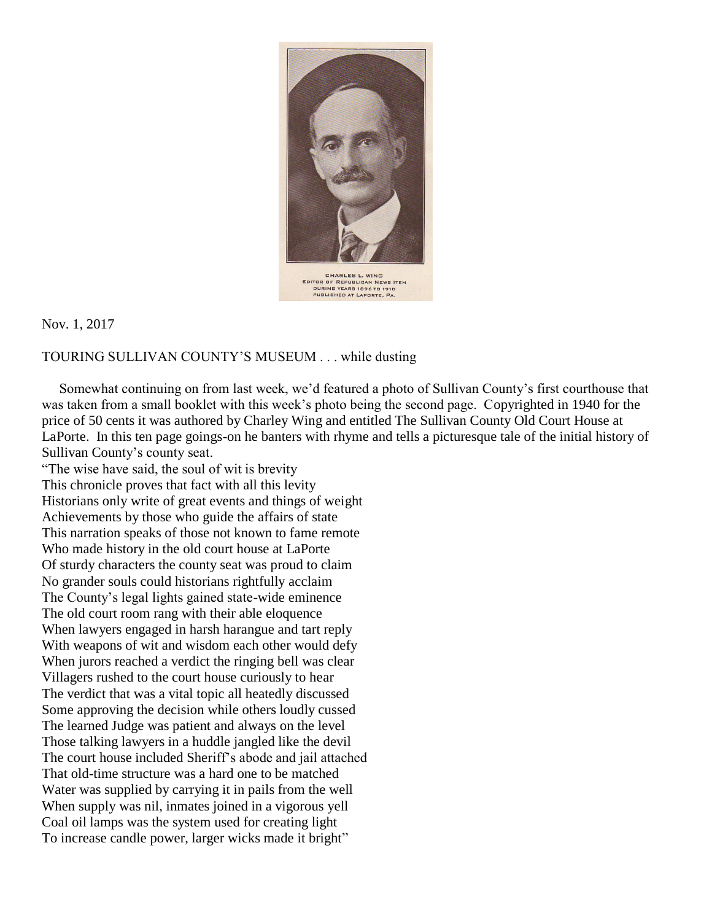

Nov. 1, 2017

## TOURING SULLIVAN COUNTY'S MUSEUM . . . while dusting

 Somewhat continuing on from last week, we'd featured a photo of Sullivan County's first courthouse that was taken from a small booklet with this week's photo being the second page. Copyrighted in 1940 for the price of 50 cents it was authored by Charley Wing and entitled The Sullivan County Old Court House at LaPorte. In this ten page goings-on he banters with rhyme and tells a picturesque tale of the initial history of Sullivan County's county seat.

"The wise have said, the soul of wit is brevity This chronicle proves that fact with all this levity Historians only write of great events and things of weight Achievements by those who guide the affairs of state This narration speaks of those not known to fame remote Who made history in the old court house at LaPorte Of sturdy characters the county seat was proud to claim No grander souls could historians rightfully acclaim The County's legal lights gained state-wide eminence The old court room rang with their able eloquence When lawyers engaged in harsh harangue and tart reply With weapons of wit and wisdom each other would defy When jurors reached a verdict the ringing bell was clear Villagers rushed to the court house curiously to hear The verdict that was a vital topic all heatedly discussed Some approving the decision while others loudly cussed The learned Judge was patient and always on the level Those talking lawyers in a huddle jangled like the devil The court house included Sheriff's abode and jail attached That old-time structure was a hard one to be matched Water was supplied by carrying it in pails from the well When supply was nil, inmates joined in a vigorous yell Coal oil lamps was the system used for creating light To increase candle power, larger wicks made it bright"